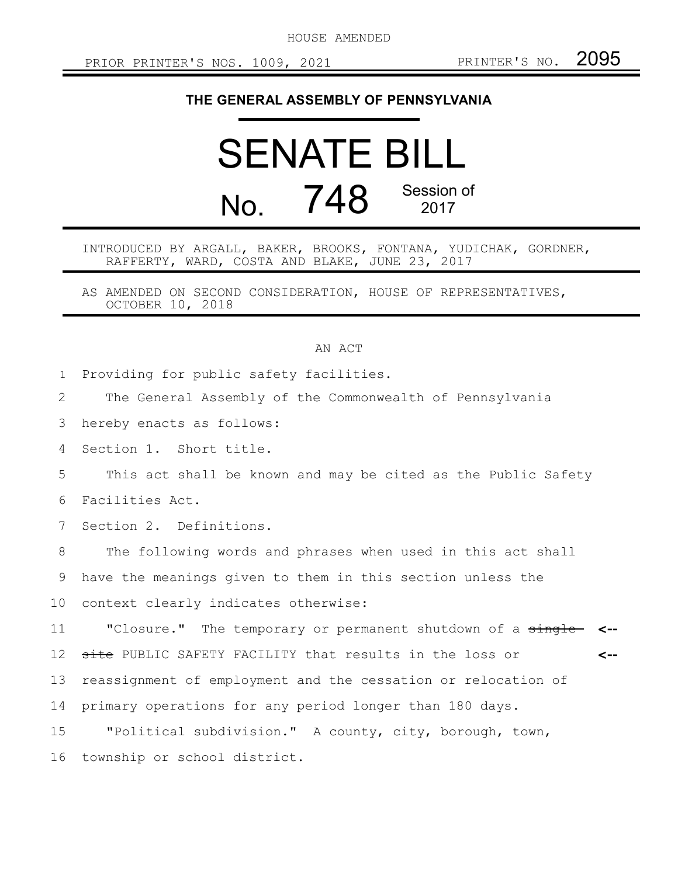HOUSE AMENDED

## **THE GENERAL ASSEMBLY OF PENNSYLVANIA**

## SENATE BILL No. 748 Session of 2017

INTRODUCED BY ARGALL, BAKER, BROOKS, FONTANA, YUDICHAK, GORDNER, RAFFERTY, WARD, COSTA AND BLAKE, JUNE 23, 2017

AS AMENDED ON SECOND CONSIDERATION, HOUSE OF REPRESENTATIVES, OCTOBER 10, 2018

## AN ACT

Providing for public safety facilities. 1

The General Assembly of the Commonwealth of Pennsylvania 2

hereby enacts as follows: 3

Section 1. Short title. 4

This act shall be known and may be cited as the Public Safety Facilities Act. 5 6

Section 2. Definitions. 7

The following words and phrases when used in this act shall 8

have the meanings given to them in this section unless the 9

context clearly indicates otherwise: 10

"Closure." The temporary or permanent shutdown of a single **<-** site PUBLIC SAFETY FACILITY that results in the loss or reassignment of employment and the cessation or relocation of primary operations for any period longer than 180 days. "Political subdivision." A county, city, borough, town, **<--** 11 12 13 14 15

township or school district. 16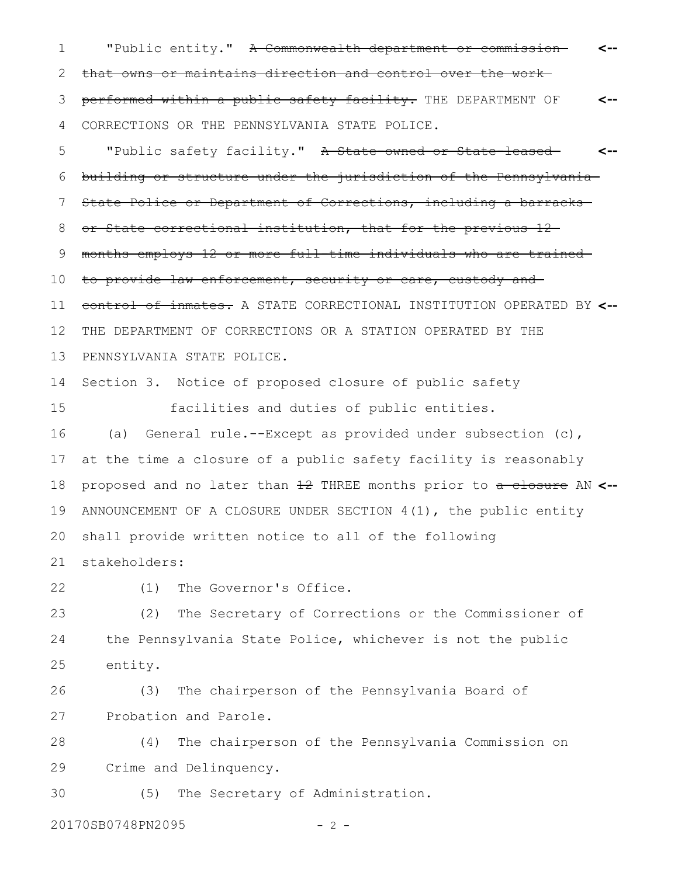"Public entity." A Commonwealth department or commissionthat owns or maintains direction and control over the work performed within a public safety facility. THE DEPARTMENT OF CORRECTIONS OR THE PENNSYLVANIA STATE POLICE. **<-- <--** 1 2 3 4

"Public safety facility." A State-owned or State-leasedbuilding or structure under the jurisdiction of the Pennsylvania State Police or Department of Corrections, including a barracks or State correctional institution, that for the previous 12 months employs 12 or more full-time individuals who are trained to provide law enforcement, security or care, custody and control of inmates. A STATE CORRECTIONAL INSTITUTION OPERATED BY **<--** THE DEPARTMENT OF CORRECTIONS OR A STATION OPERATED BY THE PENNSYLVANIA STATE POLICE. Section 3. Notice of proposed closure of public safety facilities and duties of public entities. (a) General rule.--Except as provided under subsection (c), at the time a closure of a public safety facility is reasonably proposed and no later than 12 THREE months prior to a closure AN **<--** ANNOUNCEMENT OF A CLOSURE UNDER SECTION 4(1), the public entity shall provide written notice to all of the following stakeholders: **<--** 5 6 7 8 9 10 11 12 13 14 15 16 17 18 19 20 21

22

(1) The Governor's Office.

(2) The Secretary of Corrections or the Commissioner of the Pennsylvania State Police, whichever is not the public entity. 23 24 25

(3) The chairperson of the Pennsylvania Board of Probation and Parole. 26 27

(4) The chairperson of the Pennsylvania Commission on Crime and Delinquency. 28 29

(5) The Secretary of Administration. 30

20170SB0748PN2095 - 2 -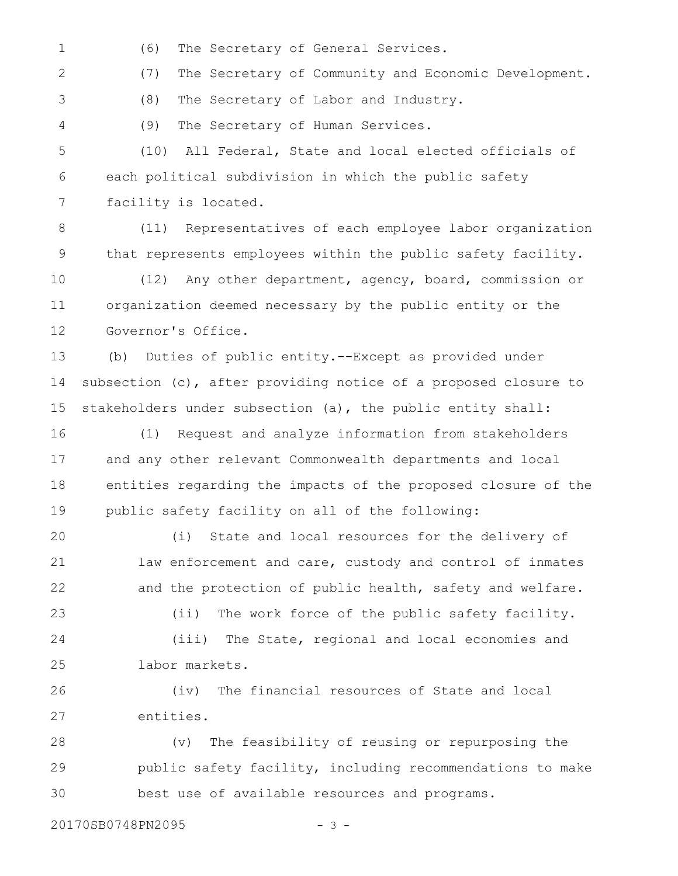(6) The Secretary of General Services. 1

(7) The Secretary of Community and Economic Development. 2

(8) The Secretary of Labor and Industry.

(9) The Secretary of Human Services. 4

3

(10) All Federal, State and local elected officials of each political subdivision in which the public safety facility is located. 5 6 7

(11) Representatives of each employee labor organization that represents employees within the public safety facility. 8 9

(12) Any other department, agency, board, commission or organization deemed necessary by the public entity or the Governor's Office. 10 11 12

(b) Duties of public entity.--Except as provided under subsection (c), after providing notice of a proposed closure to stakeholders under subsection (a), the public entity shall: 13 14 15

(1) Request and analyze information from stakeholders and any other relevant Commonwealth departments and local entities regarding the impacts of the proposed closure of the public safety facility on all of the following: 16 17 18 19

(i) State and local resources for the delivery of law enforcement and care, custody and control of inmates and the protection of public health, safety and welfare. 20 21 22

(ii) The work force of the public safety facility. (iii) The State, regional and local economies and labor markets. 23 24 25

(iv) The financial resources of State and local entities. 26 27

(v) The feasibility of reusing or repurposing the public safety facility, including recommendations to make best use of available resources and programs. 28 29 30

20170SB0748PN2095 - 3 -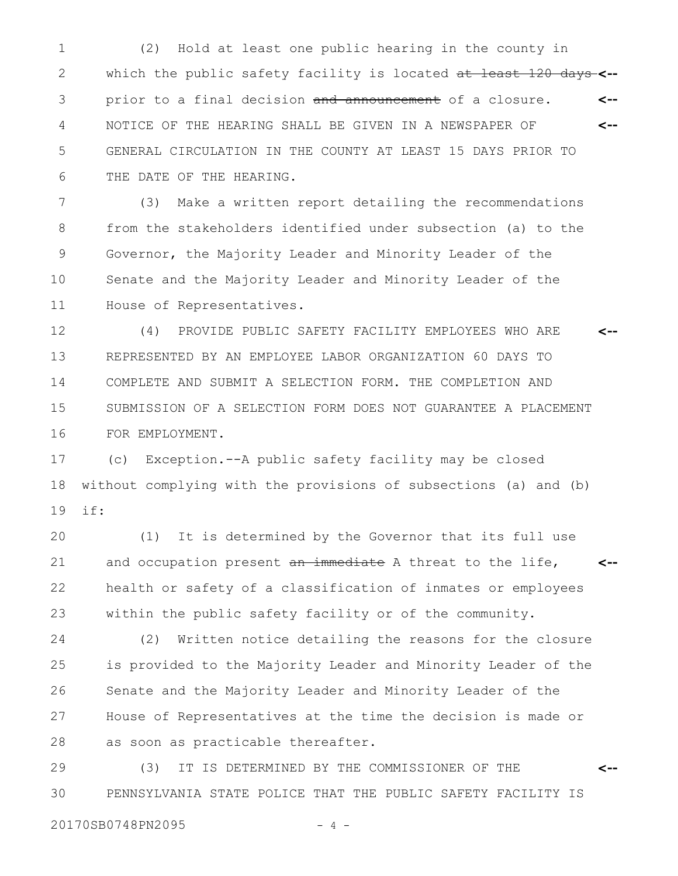(2) Hold at least one public hearing in the county in which the public safety facility is located at least 120 days **<-** prior to a final decision and announcement of a closure. NOTICE OF THE HEARING SHALL BE GIVEN IN A NEWSPAPER OF GENERAL CIRCULATION IN THE COUNTY AT LEAST 15 DAYS PRIOR TO THE DATE OF THE HEARING. **<-- <--** 1 2 3 4 5 6

(3) Make a written report detailing the recommendations from the stakeholders identified under subsection (a) to the Governor, the Majority Leader and Minority Leader of the Senate and the Majority Leader and Minority Leader of the House of Representatives. 7 8 9 10 11

(4) PROVIDE PUBLIC SAFETY FACILITY EMPLOYEES WHO ARE REPRESENTED BY AN EMPLOYEE LABOR ORGANIZATION 60 DAYS TO COMPLETE AND SUBMIT A SELECTION FORM. THE COMPLETION AND SUBMISSION OF A SELECTION FORM DOES NOT GUARANTEE A PLACEMENT FOR EMPLOYMENT. **<--** 12 13 14 15 16

(c) Exception.--A public safety facility may be closed without complying with the provisions of subsections (a) and (b) if: 17 18 19

(1) It is determined by the Governor that its full use and occupation present an immediate A threat to the life, health or safety of a classification of inmates or employees within the public safety facility or of the community. **<--** 20 21 22 23

(2) Written notice detailing the reasons for the closure is provided to the Majority Leader and Minority Leader of the Senate and the Majority Leader and Minority Leader of the House of Representatives at the time the decision is made or as soon as practicable thereafter. 24 25 26 27 28

(3) IT IS DETERMINED BY THE COMMISSIONER OF THE PENNSYLVANIA STATE POLICE THAT THE PUBLIC SAFETY FACILITY IS **<--** 29 30

20170SB0748PN2095 - 4 -